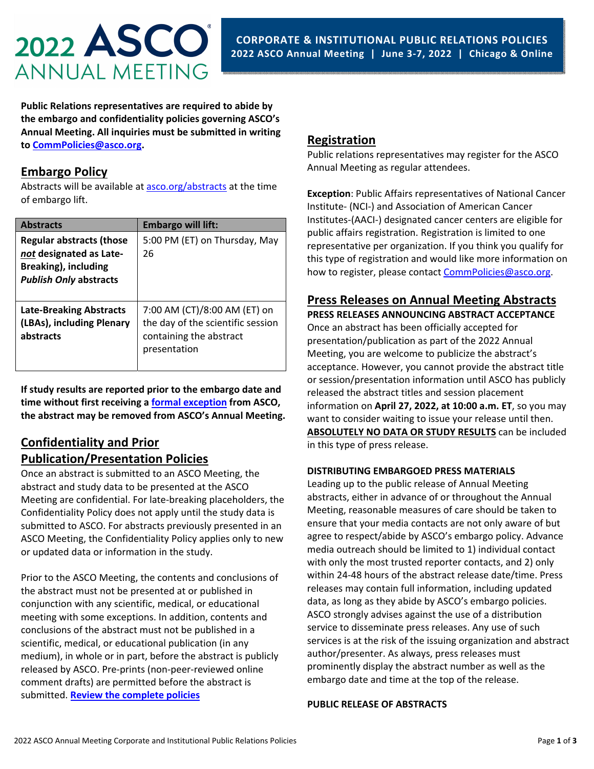

**Public Relations representatives are required to abide by the embargo and confidentiality policies governing ASCO's Annual Meeting. All inquiries must be submitted in writing to CommPolicies@asco.org.** 

## **Embargo Policy**

Abstracts will be available at asco.org/abstracts at the time of embargo lift.

| <b>Abstracts</b>                                                                                                           | <b>Embargo will lift:</b>                                                                                    |
|----------------------------------------------------------------------------------------------------------------------------|--------------------------------------------------------------------------------------------------------------|
| <b>Regular abstracts (those</b><br>not designated as Late-<br><b>Breaking), including</b><br><b>Publish Only abstracts</b> | 5:00 PM (ET) on Thursday, May<br>26                                                                          |
| <b>Late-Breaking Abstracts</b><br>(LBAs), including Plenary<br>abstracts                                                   | 7:00 AM (CT)/8:00 AM (ET) on<br>the day of the scientific session<br>containing the abstract<br>presentation |

**If study results are reported prior to the embargo date and time without first receiving a formal exception from ASCO, the abstract may be removed from ASCO's Annual Meeting.**

## **Confidentiality and Prior Publication/Presentation Policies**

Once an abstract is submitted to an ASCO Meeting, the abstract and study data to be presented at the ASCO Meeting are confidential. For late‐breaking placeholders, the Confidentiality Policy does not apply until the study data is submitted to ASCO. For abstracts previously presented in an ASCO Meeting, the Confidentiality Policy applies only to new or updated data or information in the study.

Prior to the ASCO Meeting, the contents and conclusions of the abstract must not be presented at or published in conjunction with any scientific, medical, or educational meeting with some exceptions. In addition, contents and conclusions of the abstract must not be published in a scientific, medical, or educational publication (in any medium), in whole or in part, before the abstract is publicly released by ASCO. Pre‐prints (non‐peer‐reviewed online comment drafts) are permitted before the abstract is submitted. **Review the complete policies**

# **Registration**

Public relations representatives may register for the ASCO Annual Meeting as regular attendees.

**Exception**: Public Affairs representatives of National Cancer Institute‐ (NCI‐) and Association of American Cancer Institutes‐(AACI‐) designated cancer centers are eligible for public affairs registration. Registration is limited to one representative per organization. If you think you qualify for this type of registration and would like more information on how to register, please contact CommPolicies@asco.org.

# **Press Releases on Annual Meeting Abstracts**

**PRESS RELEASES ANNOUNCING ABSTRACT ACCEPTANCE** Once an abstract has been officially accepted for presentation/publication as part of the 2022 Annual Meeting, you are welcome to publicize the abstract's acceptance. However, you cannot provide the abstract title or session/presentation information until ASCO has publicly released the abstract titles and session placement information on **April 27, 2022, at 10:00 a.m. ET**, so you may want to consider waiting to issue your release until then. **ABSOLUTELY NO DATA OR STUDY RESULTS** can be included in this type of press release.

#### **DISTRIBUTING EMBARGOED PRESS MATERIALS**

Leading up to the public release of Annual Meeting abstracts, either in advance of or throughout the Annual Meeting, reasonable measures of care should be taken to ensure that your media contacts are not only aware of but agree to respect/abide by ASCO's embargo policy. Advance media outreach should be limited to 1) individual contact with only the most trusted reporter contacts, and 2) only within 24‐48 hours of the abstract release date/time. Press releases may contain full information, including updated data, as long as they abide by ASCO's embargo policies. ASCO strongly advises against the use of a distribution service to disseminate press releases. Any use of such services is at the risk of the issuing organization and abstract author/presenter. As always, press releases must prominently display the abstract number as well as the embargo date and time at the top of the release.

#### **PUBLIC RELEASE OF ABSTRACTS**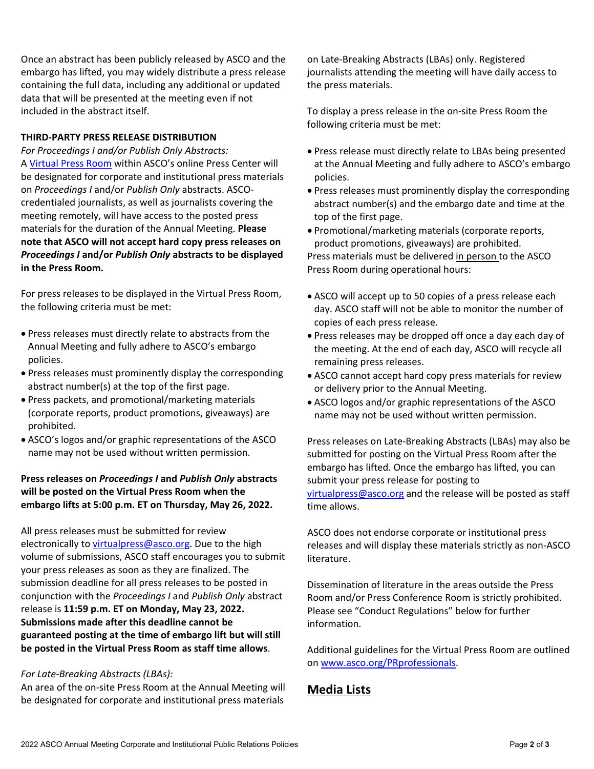Once an abstract has been publicly released by ASCO and the embargo has lifted, you may widely distribute a press release containing the full data, including any additional or updated data that will be presented at the meeting even if not included in the abstract itself.

#### **THIRD‐PARTY PRESS RELEASE DISTRIBUTION**

*For Proceedings I and/or Publish Only Abstracts:* A Virtual Press Room within ASCO's online Press Center will be designated for corporate and institutional press materials on *Proceedings I* and/or *Publish Only* abstracts. ASCO‐ credentialed journalists, as well as journalists covering the meeting remotely, will have access to the posted press materials for the duration of the Annual Meeting. **Please note that ASCO will not accept hard copy press releases on** *Proceedings I* **and/or** *Publish Only* **abstracts to be displayed in the Press Room.** 

For press releases to be displayed in the Virtual Press Room, the following criteria must be met:

- Press releases must directly relate to abstracts from the Annual Meeting and fully adhere to ASCO's embargo policies.
- Press releases must prominently display the corresponding abstract number(s) at the top of the first page.
- Press packets, and promotional/marketing materials (corporate reports, product promotions, giveaways) are prohibited.
- ASCO's logos and/or graphic representations of the ASCO name may not be used without written permission.

#### **Press releases on** *Proceedings I* **and** *Publish Only* **abstracts will be posted on the Virtual Press Room when the embargo lifts at 5:00 p.m. ET on Thursday, May 26, 2022.**

All press releases must be submitted for review electronically to virtualpress@asco.org. Due to the high volume of submissions, ASCO staff encourages you to submit your press releases as soon as they are finalized. The submission deadline for all press releases to be posted in conjunction with the *Proceedings I* and *Publish Only* abstract release is **11:59 p.m. ET on Monday, May 23, 2022. Submissions made after this deadline cannot be guaranteed posting at the time of embargo lift but will still be posted in the Virtual Press Room as staff time allows**.

#### *For Late‐Breaking Abstracts (LBAs):*

An area of the on‐site Press Room at the Annual Meeting will be designated for corporate and institutional press materials

on Late‐Breaking Abstracts (LBAs) only. Registered journalists attending the meeting will have daily access to the press materials.

To display a press release in the on‐site Press Room the following criteria must be met:

- Press release must directly relate to LBAs being presented at the Annual Meeting and fully adhere to ASCO's embargo policies.
- Press releases must prominently display the corresponding abstract number(s) and the embargo date and time at the top of the first page.
- Promotional/marketing materials (corporate reports, product promotions, giveaways) are prohibited. Press materials must be delivered in person to the ASCO Press Room during operational hours:
- ASCO will accept up to 50 copies of a press release each day. ASCO staff will not be able to monitor the number of copies of each press release.
- Press releases may be dropped off once a day each day of the meeting. At the end of each day, ASCO will recycle all remaining press releases.
- ASCO cannot accept hard copy press materials for review or delivery prior to the Annual Meeting.
- ASCO logos and/or graphic representations of the ASCO name may not be used without written permission.

Press releases on Late‐Breaking Abstracts (LBAs) may also be submitted for posting on the Virtual Press Room after the embargo has lifted. Once the embargo has lifted, you can submit your press release for posting to virtualpress@asco.org and the release will be posted as staff time allows.

ASCO does not endorse corporate or institutional press releases and will display these materials strictly as non‐ASCO literature.

Dissemination of literature in the areas outside the Press Room and/or Press Conference Room is strictly prohibited. Please see "Conduct Regulations" below for further information.

Additional guidelines for the Virtual Press Room are outlined on www.asco.org/PRprofessionals.

# **Media Lists**